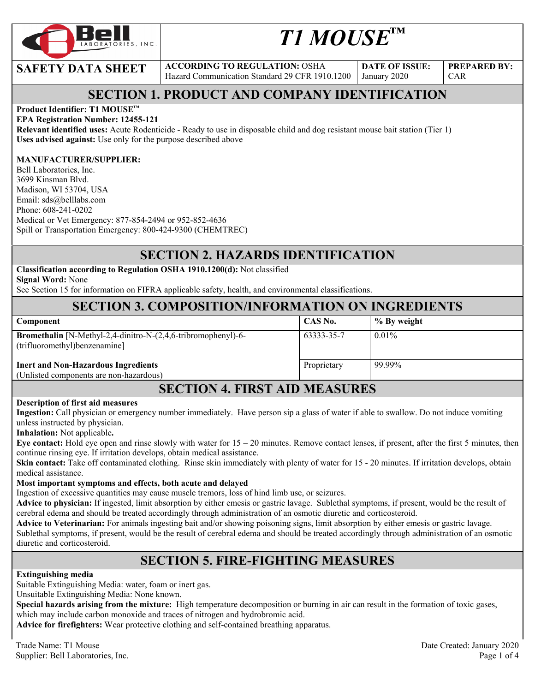

# *T1 MOUSE™*

**SAFETY DATA SHEET** ACCORDING TO REGULATION: OSHA Hazard Communication Standard 29 CFR 1910.1200

**DATE OF ISSUE:**  January 2020

**PREPARED BY:**  CAR

# **SECTION 1. PRODUCT AND COMPANY IDENTIFICATION**

#### **Product Identifier: T1 MOUSE™**

#### **EPA Registration Number: 12455-121**

**Relevant identified uses:** Acute Rodenticide - Ready to use in disposable child and dog resistant mouse bait station (Tier 1) **Uses advised against:** Use only for the purpose described above

#### **MANUFACTURER/SUPPLIER:**

Bell Laboratories, Inc. 3699 Kinsman Blvd. Madison, WI 53704, USA Email: sds@belllabs.com Phone: 608-241-0202 Medical or Vet Emergency: 877-854-2494 or 952-852-4636 Spill or Transportation Emergency: 800-424-9300 (CHEMTREC)

#### **SECTION 2. HAZARDS IDENTIFICATION**

**Classification according to Regulation OSHA 1910.1200(d):** Not classified **Signal Word:** None

See Section 15 for information on FIFRA applicable safety, health, and environmental classifications.

#### **SECTION 3. COMPOSITION/INFORMATION ON INGREDIENTS**

| Component                                                                                                   | CAS No.     | % By weight |  |
|-------------------------------------------------------------------------------------------------------------|-------------|-------------|--|
| <b>Bromethalin</b> [N-Methyl-2,4-dinitro-N-(2,4,6-tribromophenyl)-6-<br>(trifluoromethyl)benzenamine]       | 63333-35-7  | $0.01\%$    |  |
| <b>Inert and Non-Hazardous Ingredients</b><br>(Unlisted components are non-hazardous)                       | Proprietary | 99.99%      |  |
| $\alpha$ of $\alpha$ $\alpha$ is a set $\alpha$ in $\alpha$ is $\alpha$ in $\alpha$ in $\alpha$ in $\alpha$ |             |             |  |

## **SECTION 4. FIRST AID MEASURES**

#### **Description of first aid measures**

**Ingestion:** Call physician or emergency number immediately. Have person sip a glass of water if able to swallow. Do not induce vomiting unless instructed by physician.

**Inhalation:** Not applicable**.** 

**Eye contact:** Hold eye open and rinse slowly with water for  $15 - 20$  minutes. Remove contact lenses, if present, after the first 5 minutes, then continue rinsing eye. If irritation develops, obtain medical assistance.

**Skin contact:** Take off contaminated clothing. Rinse skin immediately with plenty of water for 15 - 20 minutes. If irritation develops, obtain medical assistance.

#### **Most important symptoms and effects, both acute and delayed**

Ingestion of excessive quantities may cause muscle tremors, loss of hind limb use, or seizures.

**Advice to physician:** If ingested, limit absorption by either emesis or gastric lavage. Sublethal symptoms, if present, would be the result of cerebral edema and should be treated accordingly through administration of an osmotic diuretic and corticosteroid.

**Advice to Veterinarian:** For animals ingesting bait and/or showing poisoning signs, limit absorption by either emesis or gastric lavage. Sublethal symptoms, if present, would be the result of cerebral edema and should be treated accordingly through administration of an osmotic diuretic and corticosteroid.

#### **SECTION 5. FIRE-FIGHTING MEASURES**

**Extinguishing media**

Suitable Extinguishing Media: water, foam or inert gas.

Unsuitable Extinguishing Media: None known.

**Special hazards arising from the mixture:** High temperature decomposition or burning in air can result in the formation of toxic gases, which may include carbon monoxide and traces of nitrogen and hydrobromic acid.

**Advice for firefighters:** Wear protective clothing and self-contained breathing apparatus.

Trade Name: T1 Mouse Date Created: January 2020 Supplier: Bell Laboratories, Inc. Page 1 of 4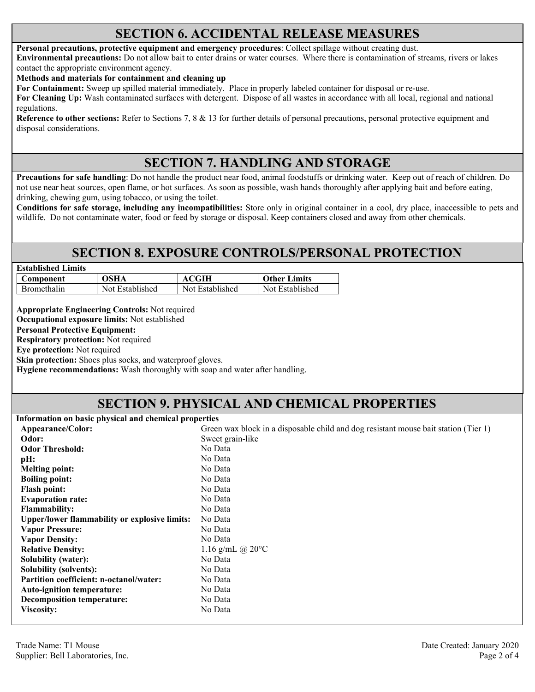#### **SECTION 6. ACCIDENTAL RELEASE MEASURES**

#### **Personal precautions, protective equipment and emergency procedures**: Collect spillage without creating dust.

**Environmental precautions:** Do not allow bait to enter drains or water courses. Where there is contamination of streams, rivers or lakes contact the appropriate environment agency.

**Methods and materials for containment and cleaning up**

**For Containment:** Sweep up spilled material immediately. Place in properly labeled container for disposal or re-use.

**For Cleaning Up:** Wash contaminated surfaces with detergent. Dispose of all wastes in accordance with all local, regional and national regulations.

**Reference to other sections:** Refer to Sections 7, 8 & 13 for further details of personal precautions, personal protective equipment and disposal considerations.

#### **SECTION 7. HANDLING AND STORAGE**

**Precautions for safe handling**: Do not handle the product near food, animal foodstuffs or drinking water. Keep out of reach of children. Do not use near heat sources, open flame, or hot surfaces. As soon as possible, wash hands thoroughly after applying bait and before eating, drinking, chewing gum, using tobacco, or using the toilet.

**Conditions for safe storage, including any incompatibilities:** Store only in original container in a cool, dry place, inaccessible to pets and wildlife. Do not contaminate water, food or feed by storage or disposal. Keep containers closed and away from other chemicals.

#### **SECTION 8. EXPOSURE CONTROLS/PERSONAL PROTECTION**

| <b>Established Limits</b> |                 |                 |                     |
|---------------------------|-----------------|-----------------|---------------------|
| <b>Component</b>          | <b>OSHA</b>     | <b>ACGIH</b>    | <b>Other Limits</b> |
| <b>Bromethalin</b>        | Not Established | Not Established | Not Established     |

**Appropriate Engineering Controls:** Not required

**Occupational exposure limits:** Not established

**Personal Protective Equipment:** 

**Respiratory protection:** Not required

**Eye protection:** Not required

**Skin protection:** Shoes plus socks, and waterproof gloves.

**Hygiene recommendations:** Wash thoroughly with soap and water after handling.

#### **SECTION 9. PHYSICAL AND CHEMICAL PROPERTIES**

**Information on basic physical and chemical properties** 

| Appearance/Color:                                    | Green wax block in a disposable child and dog resistant mouse bait station (Tier 1) |
|------------------------------------------------------|-------------------------------------------------------------------------------------|
| Odor:                                                | Sweet grain-like                                                                    |
| <b>Odor Threshold:</b>                               | No Data                                                                             |
| pH:                                                  | No Data                                                                             |
| <b>Melting point:</b>                                | No Data                                                                             |
| <b>Boiling point:</b>                                | No Data                                                                             |
| <b>Flash point:</b>                                  | No Data                                                                             |
| <b>Evaporation rate:</b>                             | No Data                                                                             |
| <b>Flammability:</b>                                 | No Data                                                                             |
| <b>Upper/lower flammability or explosive limits:</b> | No Data                                                                             |
| <b>Vapor Pressure:</b>                               | No Data                                                                             |
| <b>Vapor Density:</b>                                | No Data                                                                             |
| <b>Relative Density:</b>                             | 1.16 g/mL $(a)$ 20 $\degree$ C                                                      |
| <b>Solubility (water):</b>                           | No Data                                                                             |
| <b>Solubility (solvents):</b>                        | No Data                                                                             |
| <b>Partition coefficient: n-octanol/water:</b>       | No Data                                                                             |
| Auto-ignition temperature:                           | No Data                                                                             |
| <b>Decomposition temperature:</b>                    | No Data                                                                             |
| <b>Viscosity:</b>                                    | No Data                                                                             |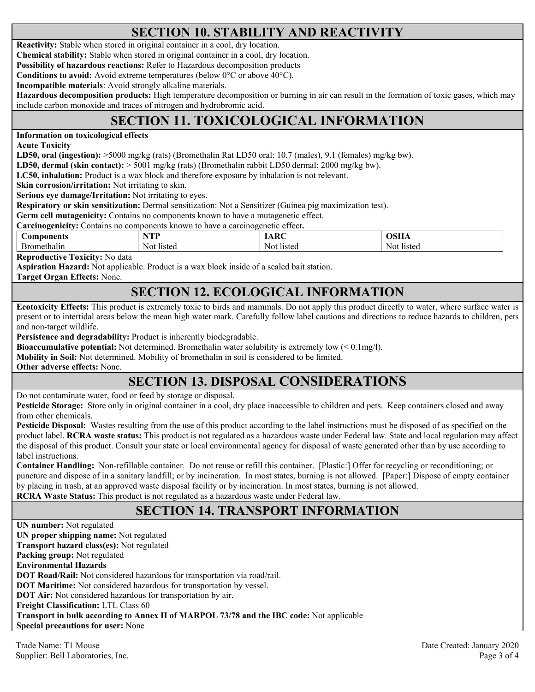# **SECTION 10. STABILITY AND REACTIVITY**

**Reactivity:** Stable when stored in original container in a cool, dry location.

**Chemical stability:** Stable when stored in original container in a cool, dry location.

**Possibility of hazardous reactions:** Refer to Hazardous decomposition products

**Conditions to avoid:** Avoid extreme temperatures (below 0°C or above 40°C).

**Incompatible materials**: Avoid strongly alkaline materials.

**Hazardous decomposition products:** High temperature decomposition or burning in air can result in the formation of toxic gases, which may include carbon monoxide and traces of nitrogen and hydrobromic acid.

# **SECTION 11. TOXICOLOGICAL INFORMATION**

**Information on toxicological effects** 

**Acute Toxicity** 

**LD50, oral (ingestion):** >5000 mg/kg (rats) (Bromethalin Rat LD50 oral: 10.7 (males), 9.1 (females) mg/kg bw).

**LD50, dermal (skin contact):** > 5001 mg/kg (rats) (Bromethalin rabbit LD50 dermal: 2000 mg/kg bw).

**LC50, inhalation:** Product is a wax block and therefore exposure by inhalation is not relevant.

**Skin corrosion/irritation:** Not irritating to skin.

**Serious eye damage/Irritation:** Not irritating to eyes.

**Respiratory or skin sensitization:** Dermal sensitization: Not a Sensitizer (Guinea pig maximization test).

**Germ cell mutagenicity:** Contains no components known to have a mutagenetic effect.

| $\sim$<br>$\sim$<br>$\Box$ arcinogenicity:<br>known<br>ettect.<br>no components ;<br>e a carcinogenetic<br>ontains.<br>, have<br>ТC |               |             |               |  |
|-------------------------------------------------------------------------------------------------------------------------------------|---------------|-------------|---------------|--|
| Components                                                                                                                          | VTT<br>.      | ADC<br>IANU | лен           |  |
| Bromethalin                                                                                                                         | Not<br>listed | Not listed  | Not<br>listeq |  |

**Reproductive Toxicity:** No data

**Aspiration Hazard:** Not applicable. Product is a wax block inside of a sealed bait station.

**Target Organ Effects:** None.

# **SECTION 12. ECOLOGICAL INFORMATION**

**Ecotoxicity Effects:** This product is extremely toxic to birds and mammals. Do not apply this product directly to water, where surface water is present or to intertidal areas below the mean high water mark. Carefully follow label cautions and directions to reduce hazards to children, pets and non-target wildlife.

**Persistence and degradability:** Product is inherently biodegradable.

**Bioaccumulative potential:** Not determined. Bromethalin water solubility is extremely low (< 0.1mg/l).

**Mobility in Soil:** Not determined. Mobility of bromethalin in soil is considered to be limited.

**Other adverse effects:** None.

# **SECTION 13. DISPOSAL CONSIDERATIONS**

Do not contaminate water, food or feed by storage or disposal.

**Pesticide Storage:** Store only in original container in a cool, dry place inaccessible to children and pets. Keep containers closed and away from other chemicals.

**Pesticide Disposal:** Wastes resulting from the use of this product according to the label instructions must be disposed of as specified on the product label. **RCRA waste status:** This product is not regulated as a hazardous waste under Federal law. State and local regulation may affect the disposal of this product. Consult your state or local environmental agency for disposal of waste generated other than by use according to label instructions.

**Container Handling:** Non-refillable container. Do not reuse or refill this container. [Plastic:] Offer for recycling or reconditioning; or puncture and dispose of in a sanitary landfill; or by incineration. In most states, burning is not allowed. [Paper:] Dispose of empty container by placing in trash, at an approved waste disposal facility or by incineration. In most states, burning is not allowed. **RCRA Waste Status:** This product is not regulated as a hazardous waste under Federal law.

## **SECTION 14. TRANSPORT INFORMATION**

**UN number:** Not regulated **UN proper shipping name:** Not regulated **Transport hazard class(es):** Not regulated **Packing group:** Not regulated **Environmental Hazards DOT Road/Rail:** Not considered hazardous for transportation via road/rail. **DOT Maritime:** Not considered hazardous for transportation by vessel. **DOT Air:** Not considered hazardous for transportation by air. **Freight Classification:** LTL Class 60 **Transport in bulk according to Annex II of MARPOL 73/78 and the IBC code:** Not applicable **Special precautions for user:** None

Trade Name: T1 Mouse Date Created: January 2020 Supplier: Bell Laboratories, Inc. Page 3 of 4